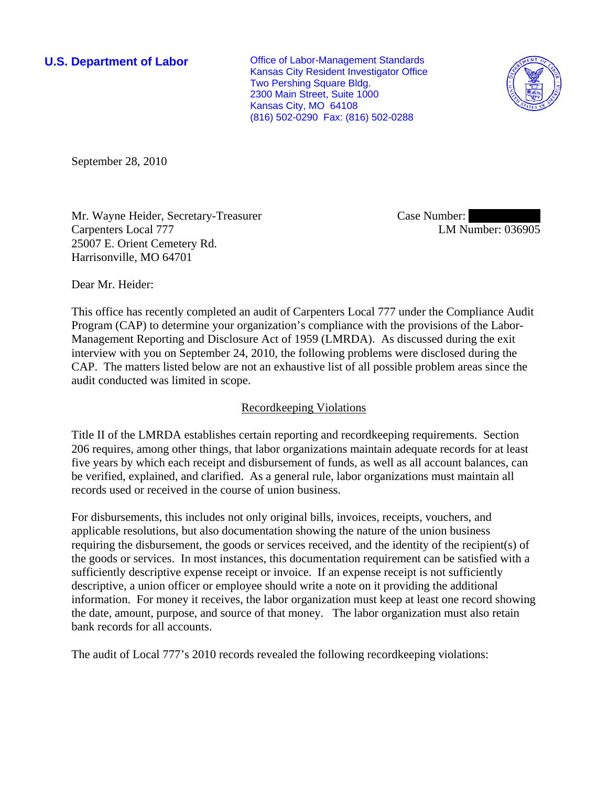**U.S. Department of Labor Conservative Conservative Conservative Conservative Conservative Conservative Conservative Conservative Conservative Conservative Conservative Conservative Conservative Conservative Conservative** Kansas City Resident Investigator Office Two Pershing Square Bldg. 2300 Main Street, Suite 1000 Kansas City, MO 64108 (816) 502-0290 Fax: (816) 502-0288



September 28, 2010

Mr. Wayne Heider, Secretary-Treasurer Carpenters Local 777 25007 E. Orient Cemetery Rd. Harrisonville, MO 64701

Case Number: LM Number: 036905

Dear Mr. Heider:

This office has recently completed an audit of Carpenters Local 777 under the Compliance Audit Program (CAP) to determine your organization's compliance with the provisions of the Labor-Management Reporting and Disclosure Act of 1959 (LMRDA). As discussed during the exit interview with you on September 24, 2010, the following problems were disclosed during the CAP. The matters listed below are not an exhaustive list of all possible problem areas since the audit conducted was limited in scope.

# Recordkeeping Violations

Title II of the LMRDA establishes certain reporting and recordkeeping requirements. Section 206 requires, among other things, that labor organizations maintain adequate records for at least five years by which each receipt and disbursement of funds, as well as all account balances, can be verified, explained, and clarified. As a general rule, labor organizations must maintain all records used or received in the course of union business.

For disbursements, this includes not only original bills, invoices, receipts, vouchers, and applicable resolutions, but also documentation showing the nature of the union business requiring the disbursement, the goods or services received, and the identity of the recipient(s) of the goods or services. In most instances, this documentation requirement can be satisfied with a sufficiently descriptive expense receipt or invoice. If an expense receipt is not sufficiently descriptive, a union officer or employee should write a note on it providing the additional information. For money it receives, the labor organization must keep at least one record showing the date, amount, purpose, and source of that money. The labor organization must also retain bank records for all accounts.

The audit of Local 777's 2010 records revealed the following recordkeeping violations: